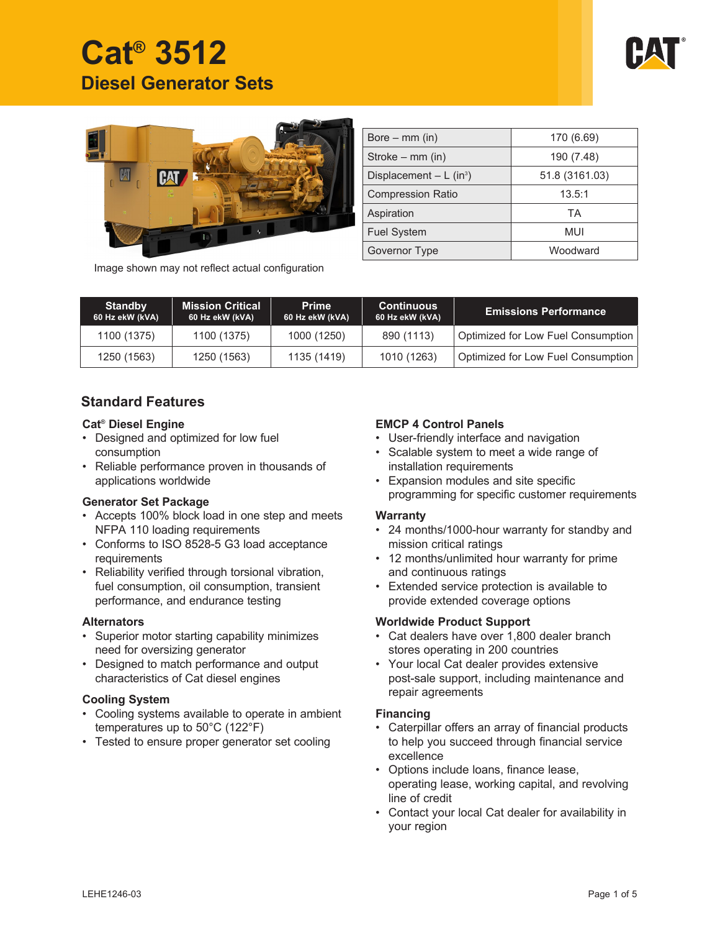





| Bore $-$ mm (in)                      | 170 (6.69)     |
|---------------------------------------|----------------|
| Stroke – mm (in)                      | 190 (7.48)     |
| Displacement $- L$ (in <sup>3</sup> ) | 51.8 (3161.03) |
| <b>Compression Ratio</b>              | 13.5:1         |
| Aspiration                            | ТA             |
| <b>Fuel System</b>                    | MUI            |
| Governor Type                         | Woodward       |

Image shown may not reflect actual configuration

| <b>Standby</b><br>60 Hz ekW (kVA) | <b>Mission Critical</b><br>60 Hz ekW (kVA) | <b>Prime</b><br>60 Hz ekW (kVA) | <b>Continuous</b><br>60 Hz ekW (kVA) | <b>Emissions Performance</b>       |
|-----------------------------------|--------------------------------------------|---------------------------------|--------------------------------------|------------------------------------|
| 1100 (1375)                       | 1100 (1375)                                | 1000 (1250)                     | 890 (1113)                           | Optimized for Low Fuel Consumption |
| 1250 (1563)                       | 1250 (1563)                                | 1135 (1419)                     | 1010 (1263)                          | Optimized for Low Fuel Consumption |

# **Standard Features**

#### **Cat® Diesel Engine**

- Designed and optimized for low fuel consumption
- Reliable performance proven in thousands of applications worldwide

#### **Generator Set Package**

- Accepts 100% block load in one step and meets NFPA 110 loading requirements
- Conforms to ISO 8528-5 G3 load acceptance requirements
- Reliability verified through torsional vibration, fuel consumption, oil consumption, transient performance, and endurance testing

#### **Alternators**

- Superior motor starting capability minimizes need for oversizing generator
- Designed to match performance and output characteristics of Cat diesel engines

### **Cooling System**

- Cooling systems available to operate in ambient temperatures up to 50°C (122°F)
- Tested to ensure proper generator set cooling

## **EMCP 4 Control Panels**

- User-friendly interface and navigation
- Scalable system to meet a wide range of installation requirements
- Expansion modules and site specific programming for specific customer requirements

#### **Warranty**

- 24 months/1000-hour warranty for standby and mission critical ratings
- 12 months/unlimited hour warranty for prime and continuous ratings
- Extended service protection is available to provide extended coverage options

### **Worldwide Product Support**

- Cat dealers have over 1,800 dealer branch stores operating in 200 countries
- Your local Cat dealer provides extensive post-sale support, including maintenance and repair agreements

#### **Financing**

- Caterpillar offers an array of financial products to help you succeed through financial service excellence
- Options include loans, finance lease, operating lease, working capital, and revolving line of credit
- Contact your local Cat dealer for availability in your region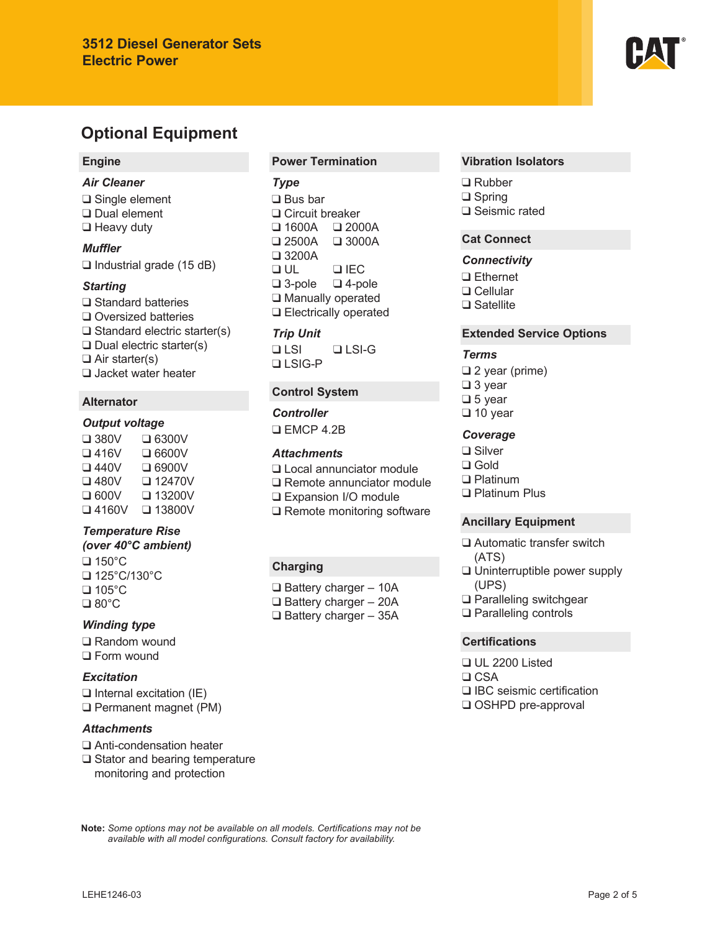# **Optional Equipment**

# **Engine**

#### *Air Cleaner*

❑ Single element ❑ Dual element ❑ Heavy duty

## *Muffler*

❑ Industrial grade (15 dB)

#### *Starting*

❑ Standard batteries ❑ Oversized batteries ❑ Standard electric starter(s) ❑ Dual electric starter(s) ❑ Air starter(s) ❑ Jacket water heater

## **Alternator**

### *Output voltage*

❑ 380V ❑ 6300V ❑ 416V ❑ 6600V ❑ 440V ❑ 6900V ❑ 480V ❑ 12470V ❑ 600V ❑ 13200V ❑ 4160V ❑ 13800V

# *Temperature Rise*

*(over 40°C ambient)* ❑ 150°C ❑ 125°C/130°C

❑ 105°C ❑ 80°C

#### *Winding type*

❑ Random wound ❑ Form wound

# *Excitation*

❑ Internal excitation (IE) ❑ Permanent magnet (PM)

#### *Attachments*

- ❑ Anti-condensation heater
- ❑ Stator and bearing temperature monitoring and protection

### **Power Termination**

#### *Type*

❑ Bus bar ❑ Circuit breaker ❑ 1600A ❑ 2000A  $\square$  2500A ❑ 3200A ❑ UL ❑ IEC ❑ 3-pole ❑ 4-pole ❑ Manually operated ❑ Electrically operated

# *Trip Unit*

❑ LSI ❑ LSI-G ❑ LSIG-P

#### **Control System**

*Controller* ❑ EMCP 4.2B

#### *Attachments*

- ❑ Local annunciator module
- ❑ Remote annunciator module
- ❑ Expansion I/O module
- ❑ Remote monitoring software

# **Charging**

❑ Battery charger – 10A ❑ Battery charger – 20A ❑ Battery charger – 35A

#### **Vibration Isolators**

❑ Rubber ❑ Spring ❑ Seismic rated

#### **Cat Connect**

#### *Connectivity*

- ❑ Ethernet ❑ Cellular
- ❑ Satellite

#### **Extended Service Options**

#### *Terms*

❑ 2 year (prime) ❑ 3 year ❑ 5 year ❑ 10 year

## *Coverage*

- ❑ Silver
- ❑ Gold
- ❑ Platinum
- ❑ Platinum Plus

#### **Ancillary Equipment**

- ❑ Automatic transfer switch (ATS)
- ❑ Uninterruptible power supply (UPS)
- ❑ Paralleling switchgear
- ❑ Paralleling controls

#### **Certifications**

❑ UL 2200 Listed ❑ CSA ❑ IBC seismic certification ❑ OSHPD pre-approval

Note: Some options may not be available on all models. Certifications may not be available with all model configurations. Consult factory for availability.

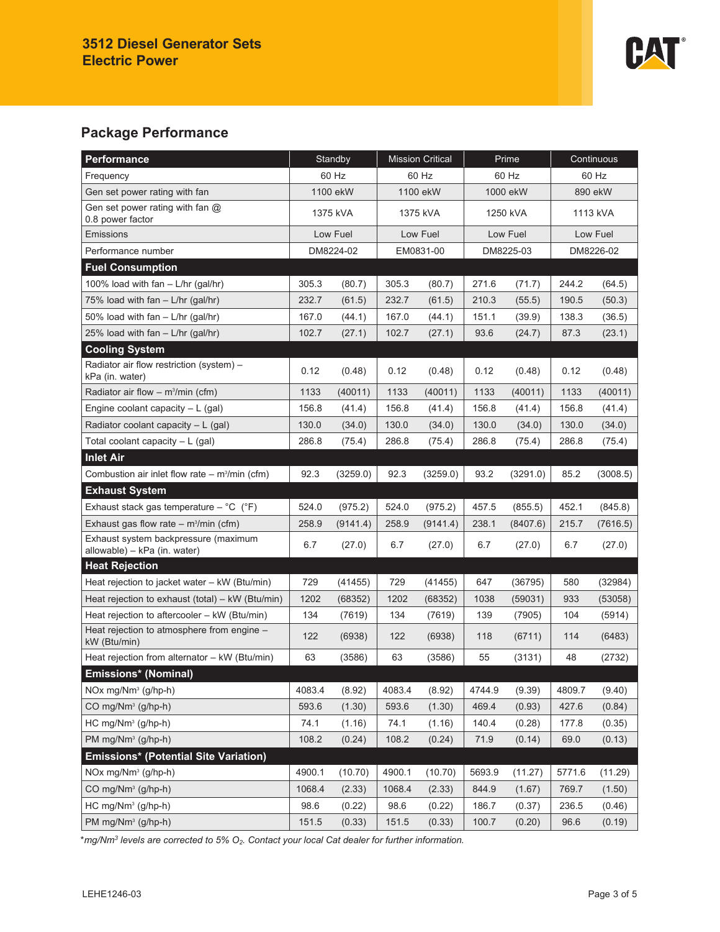

# **Package Performance**

| Performance                                                          | Standby   |          | <b>Mission Critical</b> |          | Prime     |          | Continuous |          |
|----------------------------------------------------------------------|-----------|----------|-------------------------|----------|-----------|----------|------------|----------|
| Frequency                                                            | 60 Hz     |          | 60 Hz                   |          | 60 Hz     |          | 60 Hz      |          |
| Gen set power rating with fan                                        | 1100 ekW  |          | 1100 ekW                |          | 1000 ekW  |          | 890 ekW    |          |
| Gen set power rating with fan $@$<br>0.8 power factor                | 1375 kVA  |          | 1375 kVA                |          | 1250 kVA  |          | 1113 kVA   |          |
| Emissions                                                            | Low Fuel  |          | Low Fuel                |          | Low Fuel  |          | Low Fuel   |          |
| Performance number                                                   | DM8224-02 |          | EM0831-00               |          | DM8225-03 |          | DM8226-02  |          |
| <b>Fuel Consumption</b>                                              |           |          |                         |          |           |          |            |          |
| 100% load with fan - L/hr (gal/hr)                                   | 305.3     | (80.7)   | 305.3                   | (80.7)   | 271.6     | (71.7)   | 244.2      | (64.5)   |
| 75% load with fan $-$ L/hr (gal/hr)                                  | 232.7     | (61.5)   | 232.7                   | (61.5)   | 210.3     | (55.5)   | 190.5      | (50.3)   |
| 50% load with fan - L/hr (gal/hr)                                    | 167.0     | (44.1)   | 167.0                   | (44.1)   | 151.1     | (39.9)   | 138.3      | (36.5)   |
| 25% load with $fan - L/hr$ (gal/hr)                                  | 102.7     | (27.1)   | 102.7                   | (27.1)   | 93.6      | (24.7)   | 87.3       | (23.1)   |
| <b>Cooling System</b>                                                |           |          |                         |          |           |          |            |          |
| Radiator air flow restriction (system) -<br>kPa (in. water)          | 0.12      | (0.48)   | 0.12                    | (0.48)   | 0.12      | (0.48)   | 0.12       | (0.48)   |
| Radiator air flow $-$ m <sup>3</sup> /min (cfm)                      | 1133      | (40011)  | 1133                    | (40011)  | 1133      | (40011)  | 1133       | (40011)  |
| Engine coolant capacity $- L$ (gal)                                  | 156.8     | (41.4)   | 156.8                   | (41.4)   | 156.8     | (41.4)   | 156.8      | (41.4)   |
| Radiator coolant capacity $-L$ (gal)                                 | 130.0     | (34.0)   | 130.0                   | (34.0)   | 130.0     | (34.0)   | 130.0      | (34.0)   |
| Total coolant capacity $- L$ (gal)                                   | 286.8     | (75.4)   | 286.8                   | (75.4)   | 286.8     | (75.4)   | 286.8      | (75.4)   |
| <b>Inlet Air</b>                                                     |           |          |                         |          |           |          |            |          |
| Combustion air inlet flow rate $-$ m <sup>3</sup> /min (cfm)         | 92.3      | (3259.0) | 92.3                    | (3259.0) | 93.2      | (3291.0) | 85.2       | (3008.5) |
| <b>Exhaust System</b>                                                |           |          |                         |          |           |          |            |          |
| Exhaust stack gas temperature $-$ °C ( $\degree$ F)                  | 524.0     | (975.2)  | 524.0                   | (975.2)  | 457.5     | (855.5)  | 452.1      | (845.8)  |
| Exhaust gas flow rate $-$ m <sup>3</sup> /min (cfm)                  | 258.9     | (9141.4) | 258.9                   | (9141.4) | 238.1     | (8407.6) | 215.7      | (7616.5) |
| Exhaust system backpressure (maximum<br>allowable) - kPa (in. water) | 6.7       | (27.0)   | 6.7                     | (27.0)   | 6.7       | (27.0)   | 6.7        | (27.0)   |
| <b>Heat Rejection</b>                                                |           |          |                         |          |           |          |            |          |
| Heat rejection to jacket water - kW (Btu/min)                        | 729       | (41455)  | 729                     | (41455)  | 647       | (36795)  | 580        | (32984)  |
| Heat rejection to exhaust (total) - kW (Btu/min)                     | 1202      | (68352)  | 1202                    | (68352)  | 1038      | (59031)  | 933        | (53058)  |
| Heat rejection to aftercooler - kW (Btu/min)                         | 134       | (7619)   | 134                     | (7619)   | 139       | (7905)   | 104        | (5914)   |
| Heat rejection to atmosphere from engine -<br>kW (Btu/min)           | 122       | (6938)   | 122                     | (6938)   | 118       | (6711)   | 114        | (6483)   |
| Heat rejection from alternator - kW (Btu/min)                        | 63        | (3586)   | 63                      | (3586)   | 55        | (3131)   | 48         | (2732)   |
| Emissions* (Nominal)                                                 |           |          |                         |          |           |          |            |          |
| NOx mg/Nm <sup>3</sup> (g/hp-h)                                      | 4083.4    | (8.92)   | 4083.4                  | (8.92)   | 4744.9    | (9.39)   | 4809.7     | (9.40)   |
| CO mg/Nm <sup>3</sup> (g/hp-h)                                       | 593.6     | (1.30)   | 593.6                   | (1.30)   | 469.4     | (0.93)   | 427.6      | (0.84)   |
| HC mg/Nm <sup>3</sup> (g/hp-h)                                       | 74.1      | (1.16)   | 74.1                    | (1.16)   | 140.4     | (0.28)   | 177.8      | (0.35)   |
| PM mg/Nm <sup>3</sup> (g/hp-h)                                       | 108.2     | (0.24)   | 108.2                   | (0.24)   | 71.9      | (0.14)   | 69.0       | (0.13)   |
| <b>Emissions* (Potential Site Variation)</b>                         |           |          |                         |          |           |          |            |          |
| NOx mg/Nm <sup>3</sup> (g/hp-h)                                      | 4900.1    | (10.70)  | 4900.1                  | (10.70)  | 5693.9    | (11.27)  | 5771.6     | (11.29)  |
| CO mg/Nm <sup>3</sup> (g/hp-h)                                       | 1068.4    | (2.33)   | 1068.4                  | (2.33)   | 844.9     | (1.67)   | 769.7      | (1.50)   |
| $HC$ mg/Nm <sup>3</sup> (g/hp-h)                                     | 98.6      | (0.22)   | 98.6                    | (0.22)   | 186.7     | (0.37)   | 236.5      | (0.46)   |
| $PM mg/Nm3 (g/hp-h)$                                                 | 151.5     | (0.33)   | 151.5                   | (0.33)   | 100.7     | (0.20)   | 96.6       | (0.19)   |

\**mg/Nm<sup>3</sup> levels are corrected to 5% O2. Contact your local Cat dealer for further information.*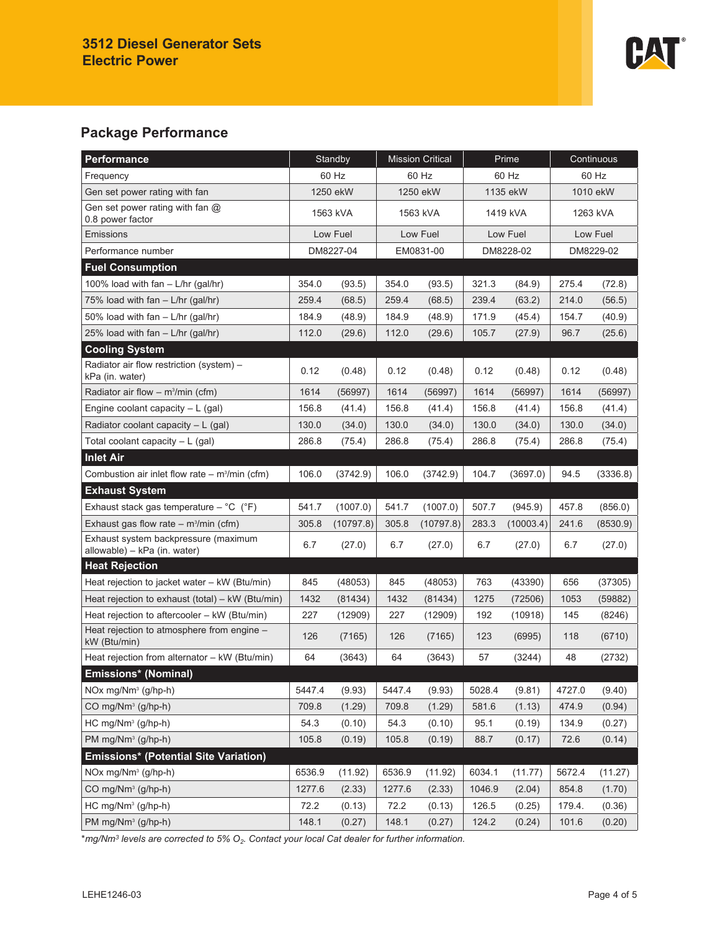

# **Package Performance**

| Performance                                                          | Standby   |           | <b>Mission Critical</b> |           | Prime     |           | Continuous |          |
|----------------------------------------------------------------------|-----------|-----------|-------------------------|-----------|-----------|-----------|------------|----------|
| Frequency                                                            | 60 Hz     |           | 60 Hz                   |           | 60 Hz     |           | 60 Hz      |          |
| Gen set power rating with fan                                        | 1250 ekW  |           | 1250 ekW                |           | 1135 ekW  |           | 1010 ekW   |          |
| Gen set power rating with fan $@$<br>0.8 power factor                | 1563 kVA  |           | 1563 kVA                |           | 1419 kVA  |           | 1263 kVA   |          |
| Emissions                                                            | Low Fuel  |           | Low Fuel                |           | Low Fuel  |           | Low Fuel   |          |
| Performance number                                                   | DM8227-04 |           | EM0831-00               |           | DM8228-02 |           | DM8229-02  |          |
| <b>Fuel Consumption</b>                                              |           |           |                         |           |           |           |            |          |
| 100% load with $fan - L/hr$ (gal/hr)                                 | 354.0     | (93.5)    | 354.0                   | (93.5)    | 321.3     | (84.9)    | 275.4      | (72.8)   |
| 75% load with fan - L/hr (gal/hr)                                    | 259.4     | (68.5)    | 259.4                   | (68.5)    | 239.4     | (63.2)    | 214.0      | (56.5)   |
| 50% load with fan - L/hr (gal/hr)                                    | 184.9     | (48.9)    | 184.9                   | (48.9)    | 171.9     | (45.4)    | 154.7      | (40.9)   |
| 25% load with fan - L/hr (gal/hr)                                    | 112.0     | (29.6)    | 112.0                   | (29.6)    | 105.7     | (27.9)    | 96.7       | (25.6)   |
| <b>Cooling System</b>                                                |           |           |                         |           |           |           |            |          |
| Radiator air flow restriction (system) -<br>kPa (in. water)          | 0.12      | (0.48)    | 0.12                    | (0.48)    | 0.12      | (0.48)    | 0.12       | (0.48)   |
| Radiator air flow $-$ m <sup>3</sup> /min (cfm)                      | 1614      | (56997)   | 1614                    | (56997)   | 1614      | (56997)   | 1614       | (56997)  |
| Engine coolant capacity $-L$ (gal)                                   | 156.8     | (41.4)    | 156.8                   | (41.4)    | 156.8     | (41.4)    | 156.8      | (41.4)   |
| Radiator coolant capacity $- L$ (gal)                                | 130.0     | (34.0)    | 130.0                   | (34.0)    | 130.0     | (34.0)    | 130.0      | (34.0)   |
| Total coolant capacity $- L$ (gal)                                   | 286.8     | (75.4)    | 286.8                   | (75.4)    | 286.8     | (75.4)    | 286.8      | (75.4)   |
| <b>Inlet Air</b>                                                     |           |           |                         |           |           |           |            |          |
| Combustion air inlet flow rate $-$ m <sup>3</sup> /min (cfm)         | 106.0     | (3742.9)  | 106.0                   | (3742.9)  | 104.7     | (3697.0)  | 94.5       | (3336.8) |
| <b>Exhaust System</b>                                                |           |           |                         |           |           |           |            |          |
| Exhaust stack gas temperature $-$ °C ( $\degree$ F)                  | 541.7     | (1007.0)  | 541.7                   | (1007.0)  | 507.7     | (945.9)   | 457.8      | (856.0)  |
| Exhaust gas flow rate $-$ m <sup>3</sup> /min (cfm)                  | 305.8     | (10797.8) | 305.8                   | (10797.8) | 283.3     | (10003.4) | 241.6      | (8530.9) |
| Exhaust system backpressure (maximum<br>allowable) - kPa (in. water) | 6.7       | (27.0)    | 6.7                     | (27.0)    | 6.7       | (27.0)    | 6.7        | (27.0)   |
| <b>Heat Rejection</b>                                                |           |           |                         |           |           |           |            |          |
| Heat rejection to jacket water - kW (Btu/min)                        | 845       | (48053)   | 845                     | (48053)   | 763       | (43390)   | 656        | (37305)  |
| Heat rejection to exhaust (total) - kW (Btu/min)                     | 1432      | (81434)   | 1432                    | (81434)   | 1275      | (72506)   | 1053       | (59882)  |
| Heat rejection to aftercooler - kW (Btu/min)                         | 227       | (12909)   | 227                     | (12909)   | 192       | (10918)   | 145        | (8246)   |
| Heat rejection to atmosphere from engine -<br>kW (Btu/min)           | 126       | (7165)    | 126                     | (7165)    | 123       | (6995)    | 118        | (6710)   |
| Heat rejection from alternator - kW (Btu/min)                        | 64        | (3643)    | 64                      | (3643)    | 57        | (3244)    | 48         | (2732)   |
| <b>Emissions* (Nominal)</b>                                          |           |           |                         |           |           |           |            |          |
| NOx mg/Nm <sup>3</sup> (g/hp-h)                                      | 5447.4    | (9.93)    | 5447.4                  | (9.93)    | 5028.4    | (9.81)    | 4727.0     | (9.40)   |
| CO mg/Nm <sup>3</sup> (g/hp-h)                                       | 709.8     | (1.29)    | 709.8                   | (1.29)    | 581.6     | (1.13)    | 474.9      | (0.94)   |
| $HC$ mg/ $Nm^3$ (g/hp-h)                                             | 54.3      | (0.10)    | 54.3                    | (0.10)    | 95.1      | (0.19)    | 134.9      | (0.27)   |
| PM mg/Nm <sup>3</sup> (g/hp-h)                                       | 105.8     | (0.19)    | 105.8                   | (0.19)    | 88.7      | (0.17)    | 72.6       | (0.14)   |
| <b>Emissions* (Potential Site Variation)</b>                         |           |           |                         |           |           |           |            |          |
| NOx mg/Nm <sup>3</sup> (g/hp-h)                                      | 6536.9    | (11.92)   | 6536.9                  | (11.92)   | 6034.1    | (11.77)   | 5672.4     | (11.27)  |
| CO mg/Nm <sup>3</sup> (g/hp-h)                                       | 1277.6    | (2.33)    | 1277.6                  | (2.33)    | 1046.9    | (2.04)    | 854.8      | (1.70)   |
| HC mg/Nm <sup>3</sup> (g/hp-h)                                       | 72.2      | (0.13)    | 72.2                    | (0.13)    | 126.5     | (0.25)    | 179.4.     | (0.36)   |
| PM $mg/Nm^3$ (g/hp-h)                                                | 148.1     | (0.27)    | 148.1                   | (0.27)    | 124.2     | (0.24)    | 101.6      | (0.20)   |

\**mg/Nm<sup>3</sup> levels are corrected to 5% O2. Contact your local Cat dealer for further information.*